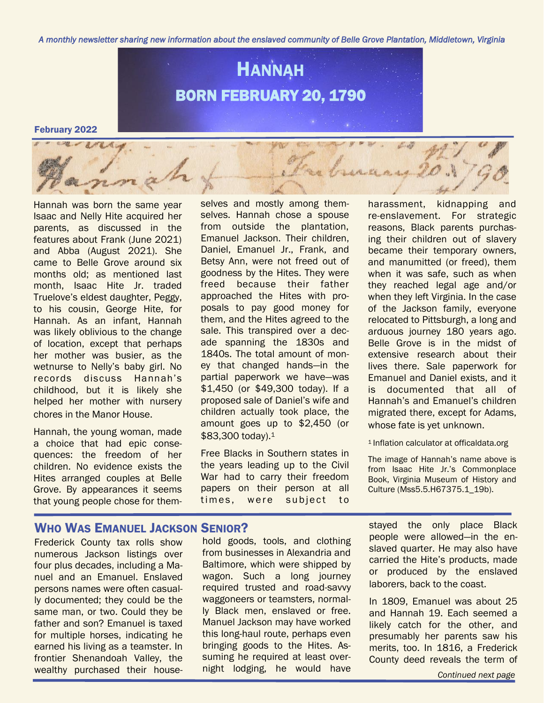*A monthly newsletter sharing new information about the enslaved community of Belle Grove Plantation, Middletown, Virginia* 



#### February 2022

Hannah was born the same year Isaac and Nelly Hite acquired her parents, as discussed in the features about Frank (June 2021) and Abba (August 2021). She came to Belle Grove around six months old; as mentioned last month, Isaac Hite Jr. traded Truelove's eldest daughter, Peggy, to his cousin, George Hite, for Hannah. As an infant, Hannah was likely oblivious to the change of location, except that perhaps her mother was busier, as the wetnurse to Nelly's baby girl. No records discuss Hannah's childhood, but it is likely she helped her mother with nursery chores in the Manor House.

Hannah, the young woman, made a choice that had epic consequences: the freedom of her children. No evidence exists the Hites arranged couples at Belle Grove. By appearances it seems that young people chose for themselves and mostly among themselves. Hannah chose a spouse from outside the plantation, Emanuel Jackson. Their children, Daniel, Emanuel Jr., Frank, and Betsy Ann, were not freed out of goodness by the Hites. They were freed because their father approached the Hites with proposals to pay good money for them, and the Hites agreed to the sale. This transpired over a decade spanning the 1830s and 1840s. The total amount of money that changed hands—in the partial paperwork we have—was \$1,450 (or \$49,300 today). If a proposed sale of Daniel's wife and children actually took place, the amount goes up to \$2,450 (or \$83,300 today).<sup>1</sup>

Free Blacks in Southern states in the years leading up to the Civil War had to carry their freedom papers on their person at all times, were subject to

harassment, kidnapping and re-enslavement. For strategic reasons, Black parents purchasing their children out of slavery became their temporary owners, and manumitted (or freed), them when it was safe, such as when they reached legal age and/or when they left Virginia. In the case of the Jackson family, everyone relocated to Pittsburgh, a long and arduous journey 180 years ago. Belle Grove is in the midst of extensive research about their lives there. Sale paperwork for Emanuel and Daniel exists, and it is documented that all of Hannah's and Emanuel's children migrated there, except for Adams, whose fate is yet unknown.

1Inflation calculator at officaldata.org

The image of Hannah's name above is from Isaac Hite Jr.'s Commonplace Book, Virginia Museum of History and Culture (Mss5.5.H67375.1\_19b).

## WHO WAS EMANUEL JACKSON SENIOR?

Frederick County tax rolls show numerous Jackson listings over four plus decades, including a Manuel and an Emanuel. Enslaved persons names were often casually documented; they could be the same man, or two. Could they be father and son? Emanuel is taxed for multiple horses, indicating he earned his living as a teamster. In frontier Shenandoah Valley, the wealthy purchased their house-

hold goods, tools, and clothing from businesses in Alexandria and Baltimore, which were shipped by wagon. Such a long journey required trusted and road-savvy waggoneers or teamsters, normally Black men, enslaved or free. Manuel Jackson may have worked this long-haul route, perhaps even bringing goods to the Hites. Assuming he required at least overnight lodging, he would have

stayed the only place Black people were allowed—in the enslaved quarter. He may also have carried the Hite's products, made or produced by the enslaved laborers, back to the coast.

In 1809, Emanuel was about 25 and Hannah 19. Each seemed a likely catch for the other, and presumably her parents saw his merits, too. In 1816, a Frederick County deed reveals the term of